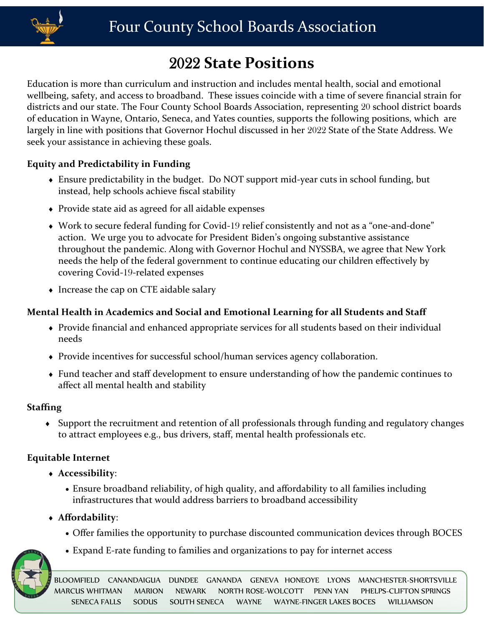

# 2022 **State Positions**

Education is more than curriculum and instruction and includes mental health, social and emotional wellbeing, safety, and access to broadband. These issues coincide with a time of severe financial strain for districts and our state. The Four County School Boards Association, representing 20 school district boards of education in Wayne, Ontario, Seneca, and Yates counties, supports the following positions, which are largely in line with positions that Governor Hochul discussed in her 2022 State of the State Address. We seek your assistance in achieving these goals.

#### **Equity and Predictability in Funding**

- Ensure predictability in the budget. Do NOT support mid-year cuts in school funding, but instead, help schools achieve fiscal stability
- Provide state aid as agreed for all aidable expenses
- Work to secure federal funding for Covid-19 relief consistently and not as a "one-and-done" action. We urge you to advocate for President Biden's ongoing substantive assistance throughout the pandemic. Along with Governor Hochul and NYSSBA, we agree that New York needs the help of the federal government to continue educating our children effectively by covering Covid-19-related expenses
- Increase the cap on CTE aidable salary

## **Mental Health in Academics and Social and Emotional Learning for all Students and Staff**

- Provide financial and enhanced appropriate services for all students based on their individual needs
- Provide incentives for successful school/human services agency collaboration.
- Fund teacher and staff development to ensure understanding of how the pandemic continues to affect all mental health and stability

#### **Staffing**

 Support the recruitment and retention of all professionals through funding and regulatory changes to attract employees e.g., bus drivers, staff, mental health professionals etc.

#### **Equitable Internet**

- **Accessibility**:
	- Ensure broadband reliability, of high quality, and affordability to all families including infrastructures that would address barriers to broadband accessibility
- **Affordability**:
	- Offer families the opportunity to purchase discounted communication devices through BOCES
	- Expand E-rate funding to families and organizations to pay for internet access



BLOOMFIELD CANANDAIGUA DUNDEE GANANDA GENEVA HONEOYE LYONS MANCHESTER-SHORTSVILLE<br>MARCUS-WHITMAN MARION NEWARK NORTH-ROSE-WOLCOTT PENN-YAN PHELPS-CLIETON-SPRINGS MARCUS WHITMAN MARION NEWARK NORTH ROSE-WOLCOTT PENN YAN PHELPS-CLIFTON SPRINGS SENECA FALLS SODUS SOUTH SENECA WAYNE WAYNE-FINGER LAKES BOCES WILLIAMSON